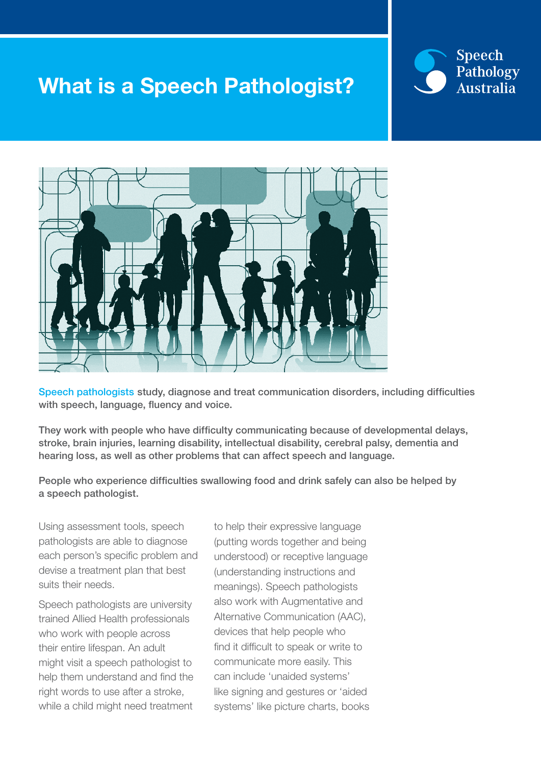## What is a Speech Pathologist?





Speech pathologists study, diagnose and treat communication disorders, including difficulties with speech, language, fluency and voice.

They work with people who have difficulty communicating because of developmental delays, stroke, brain injuries, learning disability, intellectual disability, cerebral palsy, dementia and hearing loss, as well as other problems that can affect speech and language.

People who experience difficulties swallowing food and drink safely can also be helped by a speech pathologist.

Using assessment tools, speech pathologists are able to diagnose each person's specific problem and devise a treatment plan that best suits their needs.

Speech pathologists are university trained Allied Health professionals who work with people across their entire lifespan. An adult might visit a speech pathologist to help them understand and find the right words to use after a stroke, while a child might need treatment

to help their expressive language (putting words together and being understood) or receptive language (understanding instructions and meanings). Speech pathologists also work with Augmentative and Alternative Communication (AAC), devices that help people who find it difficult to speak or write to communicate more easily. This can include 'unaided systems' like signing and gestures or 'aided systems' like picture charts, books